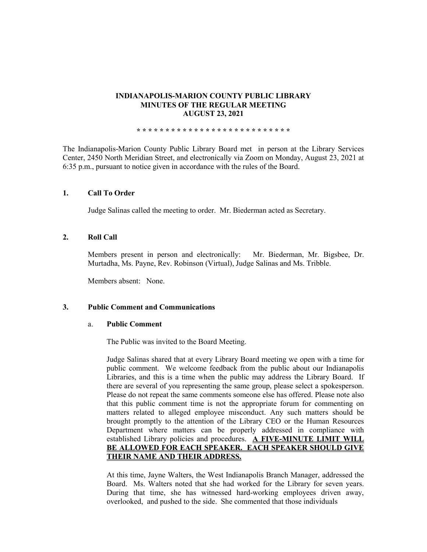## **INDIANAPOLIS-MARION COUNTY PUBLIC LIBRARY MINUTES OF THE REGULAR MEETING AUGUST 23, 2021**

**\* \* \* \* \* \* \* \* \* \* \* \* \* \* \* \* \* \* \* \* \* \* \* \* \* \* \***

The Indianapolis-Marion County Public Library Board met in person at the Library Services Center, 2450 North Meridian Street, and electronically via Zoom on Monday, August 23, 2021 at 6:35 p.m., pursuant to notice given in accordance with the rules of the Board.

## **1. Call To Order**

Judge Salinas called the meeting to order. Mr. Biederman acted as Secretary.

## **2. Roll Call**

Members present in person and electronically: Mr. Biederman, Mr. Bigsbee, Dr. Murtadha, Ms. Payne, Rev. Robinson (Virtual), Judge Salinas and Ms. Tribble.

Members absent: None.

### **3. Public Comment and Communications**

### a. **Public Comment**

The Public was invited to the Board Meeting.

Judge Salinas shared that at every Library Board meeting we open with a time for public comment. We welcome feedback from the public about our Indianapolis Libraries, and this is a time when the public may address the Library Board. If there are several of you representing the same group, please select a spokesperson. Please do not repeat the same comments someone else has offered. Please note also that this public comment time is not the appropriate forum for commenting on matters related to alleged employee misconduct. Any such matters should be brought promptly to the attention of the Library CEO or the Human Resources Department where matters can be properly addressed in compliance with established Library policies and procedures. **A FIVE-MINUTE LIMIT WILL BE ALLOWED FOR EACH SPEAKER. EACH SPEAKER SHOULD GIVE THEIR NAME AND THEIR ADDRESS.** 

At this time, Jayne Walters, the West Indianapolis Branch Manager, addressed the Board. Ms. Walters noted that she had worked for the Library for seven years. During that time, she has witnessed hard-working employees driven away, overlooked, and pushed to the side. She commented that those individuals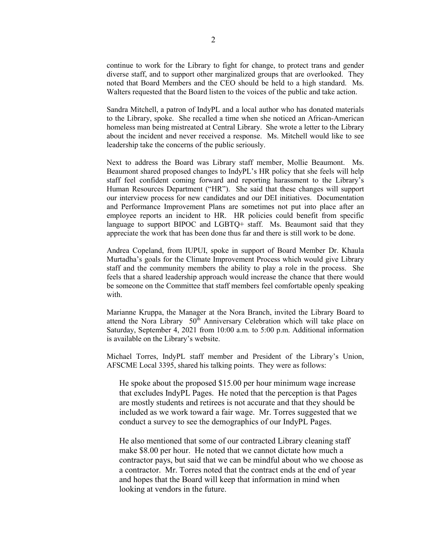continue to work for the Library to fight for change, to protect trans and gender diverse staff, and to support other marginalized groups that are overlooked. They noted that Board Members and the CEO should be held to a high standard. Ms. Walters requested that the Board listen to the voices of the public and take action.

Sandra Mitchell, a patron of IndyPL and a local author who has donated materials to the Library, spoke. She recalled a time when she noticed an African-American homeless man being mistreated at Central Library. She wrote a letter to the Library about the incident and never received a response. Ms. Mitchell would like to see leadership take the concerns of the public seriously.

Next to address the Board was Library staff member, Mollie Beaumont. Ms. Beaumont shared proposed changes to IndyPL's HR policy that she feels will help staff feel confident coming forward and reporting harassment to the Library's Human Resources Department ("HR"). She said that these changes will support our interview process for new candidates and our DEI initiatives. Documentation and Performance Improvement Plans are sometimes not put into place after an employee reports an incident to HR. HR policies could benefit from specific language to support BIPOC and LGBTQ+ staff. Ms. Beaumont said that they appreciate the work that has been done thus far and there is still work to be done.

Andrea Copeland, from IUPUI, spoke in support of Board Member Dr. Khaula Murtadha's goals for the Climate Improvement Process which would give Library staff and the community members the ability to play a role in the process. She feels that a shared leadership approach would increase the chance that there would be someone on the Committee that staff members feel comfortable openly speaking with.

Marianne Kruppa, the Manager at the Nora Branch, invited the Library Board to attend the Nora Library 50<sup>th</sup> Anniversary Celebration which will take place on Saturday, September 4, 2021 from 10:00 a.m. to 5:00 p.m. Additional information is available on the Library's website.

Michael Torres, IndyPL staff member and President of the Library's Union, AFSCME Local 3395, shared his talking points. They were as follows:

He spoke about the proposed \$15.00 per hour minimum wage increase that excludes IndyPL Pages. He noted that the perception is that Pages are mostly students and retirees is not accurate and that they should be included as we work toward a fair wage. Mr. Torres suggested that we conduct a survey to see the demographics of our IndyPL Pages.

He also mentioned that some of our contracted Library cleaning staff make \$8.00 per hour. He noted that we cannot dictate how much a contractor pays, but said that we can be mindful about who we choose as a contractor. Mr. Torres noted that the contract ends at the end of year and hopes that the Board will keep that information in mind when looking at vendors in the future.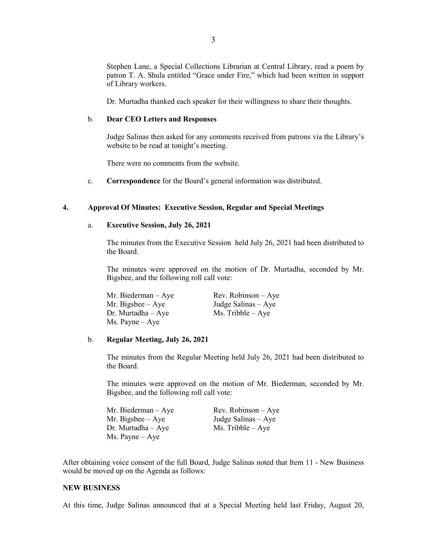Stephen Lane, a Special Collections Librarian at Central Library, read a poem by patron T. A. Shula entitled "Grace under Fire," which had been written in support of Library workers.

Dr. Murtadha thanked each speaker for their willingness to share their thoughts.

#### b. **Dear CEO Letters and Responses**

Judge Salinas then asked for any comments received from patrons via the Library's website to be read at tonight's meeting.

There were no comments from the website.

c. **Correspondence** for the Board's general information was distributed.

#### **4. Approval Of Minutes: Executive Session, Regular and Special Meetings**

#### a. **Executive Session, July 26, 2021**

The minutes from the Executive Session held July 26, 2021 had been distributed to the Board.

The minutes were approved on the motion of Dr. Murtadha, seconded by Mr. Bigsbee, and the following roll call vote:

| Mr. Biederman – Aye | $Rev. Robinson - Ave$ |
|---------------------|-----------------------|
| Mr. Bigsbee – Aye   | Judge Salinas – Aye   |
| Dr. Murtadha – Aye  | $Ms.$ Tribble $-$ Aye |
| Ms. Payne – Aye     |                       |

#### b. **Regular Meeting, July 26, 2021**

The minutes from the Regular Meeting held July 26, 2021 had been distributed to the Board.

The minutes were approved on the motion of Mr. Biederman, seconded by Mr. Bigsbee, and the following roll call vote:

| Mr. Biederman $-$ Aye    | $Rev. Robinson - Aye$ |
|--------------------------|-----------------------|
| Mr. Bigsbee $-$ Aye      | Judge Salinas $-$ Aye |
| $Dr.$ Murtadha $-$ Aye   | $Ms.$ Tribble $-$ Aye |
| $Ms. \text{Payne} - Aye$ |                       |

After obtaining voice consent of the full Board, Judge Salinas noted that Item 11 - New Business would be moved up on the Agenda as follows:

#### **NEW BUSINESS**

At this time, Judge Salinas announced that at a Special Meeting held last Friday, August 20,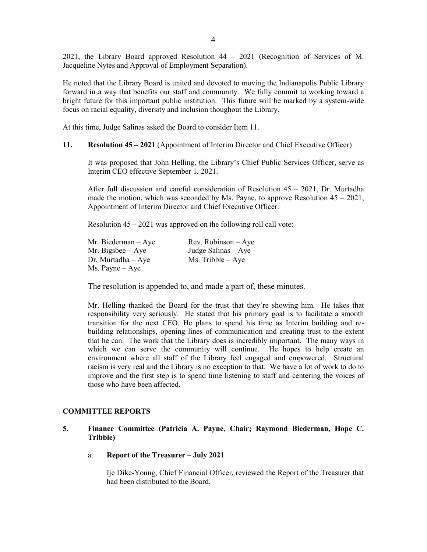2021, the Library Board approved Resolution 44 – 2021 (Recognition of Services of M. Jacqueline Nytes and Approval of Employment Separation).

He noted that the Library Board is united and devoted to moving the Indianapolis Public Library forward in a way that benefits our staff and community. We fully commit to working toward a bright future for this important public institution. This future will be marked by a system-wide focus on racial equality, diversity and inclusion thoughout the Library.

At this time, Judge Salinas asked the Board to consider Item 11.

#### **11. Resolution 45 – 2021** (Appointment of Interim Director and Chief Executive Officer)

It was proposed that John Helling, the Library's Chief Public Services Officer, serve as Interim CEO effective September 1, 2021.

After full discussion and careful consideration of Resolution 45 – 2021, Dr. Murtadha made the motion, which was seconded by Ms. Payne, to approve Resolution  $45 - 2021$ , Appointment of Interim Director and Chief Executive Officer.

Resolution  $45 - 2021$  was approved on the following roll call vote:

| Mr. Biederman $-$ Aye    | $Rev. Robinson - Aye$ |
|--------------------------|-----------------------|
| Mr. Bigsbee $-$ Aye      | Judge Salinas $-$ Aye |
| $Dr.$ Murtadha $-Aye$    | $Ms.$ Tribble $-$ Aye |
| $Ms. \text{Payne} - Aye$ |                       |

The resolution is appended to, and made a part of, these minutes.

Mr. Helling thanked the Board for the trust that they're showing him. He takes that responsibility very seriously. He stated that his primary goal is to facilitate a smooth transition for the next CEO. He plans to spend his time as Interim building and rebuilding relationships, opening lines of communication and creating trust to the extent that he can. The work that the Library does is incredibly important. The many ways in which we can serve the community will continue. He hopes to help create an environment where all staff of the Library feel engaged and empowered. Structural racism is very real and the Library is no exception to that. We have a lot of work to do to improve and the first step is to spend time listening to staff and centering the voices of those who have been affected.

## **COMMITTEE REPORTS**

## **5. Finance Committee (Patricia A. Payne, Chair; Raymond Biederman, Hope C. Tribble)**

a. **Report of the Treasurer – July 2021**

Ije Dike-Young, Chief Financial Officer, reviewed the Report of the Treasurer that had been distributed to the Board.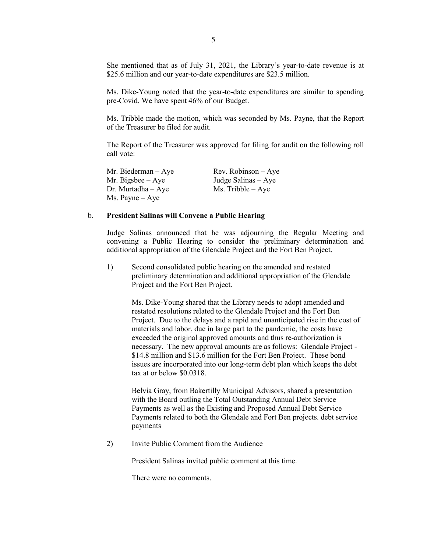She mentioned that as of July 31, 2021, the Library's year-to-date revenue is at \$25.6 million and our year-to-date expenditures are \$23.5 million.

Ms. Dike-Young noted that the year-to-date expenditures are similar to spending pre-Covid. We have spent 46% of our Budget.

Ms. Tribble made the motion, which was seconded by Ms. Payne, that the Report of the Treasurer be filed for audit.

The Report of the Treasurer was approved for filing for audit on the following roll call vote:

Mr. Biederman – Aye Rev. Robinson – Aye Mr. Bigsbee – Aye Judge Salinas – Aye  $Dr. Murtadha - Ave$  Ms. Tribble – Aye Ms. Payne – Aye

#### b. **President Salinas will Convene a Public Hearing**

Judge Salinas announced that he was adjourning the Regular Meeting and convening a Public Hearing to consider the preliminary determination and additional appropriation of the Glendale Project and the Fort Ben Project.

1) Second consolidated public hearing on the amended and restated preliminary determination and additional appropriation of the Glendale Project and the Fort Ben Project.

Ms. Dike-Young shared that the Library needs to adopt amended and restated resolutions related to the Glendale Project and the Fort Ben Project. Due to the delays and a rapid and unanticipated rise in the cost of materials and labor, due in large part to the pandemic, the costs have exceeded the original approved amounts and thus re-authorization is necessary. The new approval amounts are as follows: Glendale Project - \$14.8 million and \$13.6 million for the Fort Ben Project. These bond issues are incorporated into our long-term debt plan which keeps the debt tax at or below \$0.0318.

Belvia Gray, from Bakertilly Municipal Advisors, shared a presentation with the Board outling the Total Outstanding Annual Debt Service Payments as well as the Existing and Proposed Annual Debt Service Payments related to both the Glendale and Fort Ben projects. debt service payments

2) Invite Public Comment from the Audience

President Salinas invited public comment at this time.

There were no comments.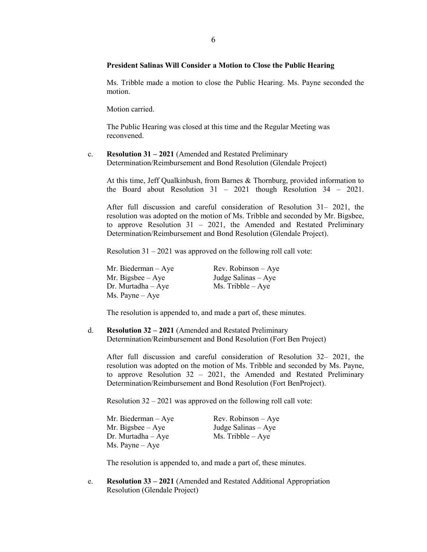## **President Salinas Will Consider a Motion to Close the Public Hearing**

Ms. Tribble made a motion to close the Public Hearing. Ms. Payne seconded the motion.

Motion carried.

The Public Hearing was closed at this time and the Regular Meeting was reconvened.

#### c. **Resolution 31 – 2021** (Amended and Restated Preliminary Determination/Reimbursement and Bond Resolution (Glendale Project)

At this time, Jeff Qualkinbush, from Barnes & Thornburg, provided information to the Board about Resolution 31 – 2021 though Resolution 34 – 2021.

After full discussion and careful consideration of Resolution 31– 2021, the resolution was adopted on the motion of Ms. Tribble and seconded by Mr. Bigsbee, to approve Resolution 31 – 2021, the Amended and Restated Preliminary Determination/Reimbursement and Bond Resolution (Glendale Project).

Resolution 31 – 2021 was approved on the following roll call vote:

Mr. Biederman – Aye Rev. Robinson – Aye Mr. Bigsbee – Aye Judge Salinas – Aye Dr. Murtadha – Aye Ms. Tribble – Aye Ms. Payne – Aye

The resolution is appended to, and made a part of, these minutes.

d. **Resolution 32 – 2021** (Amended and Restated Preliminary Determination/Reimbursement and Bond Resolution (Fort Ben Project)

After full discussion and careful consideration of Resolution 32– 2021, the resolution was adopted on the motion of Ms. Tribble and seconded by Ms. Payne, to approve Resolution 32 – 2021, the Amended and Restated Preliminary Determination/Reimbursement and Bond Resolution (Fort BenProject).

Resolution 32 – 2021 was approved on the following roll call vote:

| Mr. Biederman $-$ Aye    | $Rev. Robinson - Aye$ |
|--------------------------|-----------------------|
| Mr. Bigsbee $-$ Aye      | Judge Salinas $-$ Aye |
| $Dr.$ Murtadha $-Aye$    | $Ms.$ Tribble $-Aye$  |
| $Ms. \text{Payne} - Aye$ |                       |

The resolution is appended to, and made a part of, these minutes.

e. **Resolution 33 – 2021** (Amended and Restated Additional Appropriation Resolution (Glendale Project)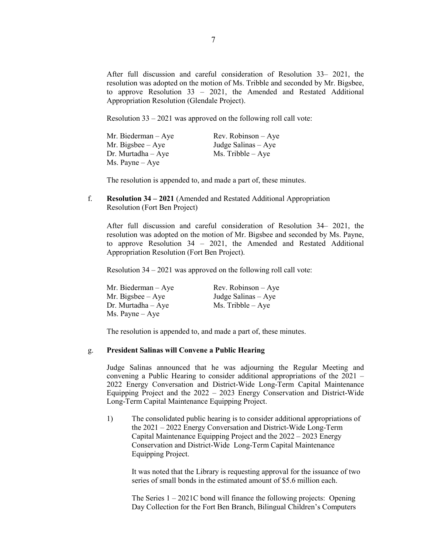After full discussion and careful consideration of Resolution 33– 2021, the resolution was adopted on the motion of Ms. Tribble and seconded by Mr. Bigsbee, to approve Resolution 33 – 2021, the Amended and Restated Additional Appropriation Resolution (Glendale Project).

Resolution 33 – 2021 was approved on the following roll call vote:

| Mr. Biederman $-$ Aye    | $Rev. Robinson - Aye$ |
|--------------------------|-----------------------|
| Mr. Bigsbee $-$ Aye      | Judge Salinas $-$ Aye |
| $Dr.$ Murtadha $-$ Aye   | $Ms.$ Tribble $-$ Aye |
| $Ms. \text{Payne} - Aye$ |                       |

The resolution is appended to, and made a part of, these minutes.

f. **Resolution 34 – 2021** (Amended and Restated Additional Appropriation Resolution (Fort Ben Project)

After full discussion and careful consideration of Resolution 34– 2021, the resolution was adopted on the motion of Mr. Bigsbee and seconded by Ms. Payne, to approve Resolution 34 – 2021, the Amended and Restated Additional Appropriation Resolution (Fort Ben Project).

Resolution 34 – 2021 was approved on the following roll call vote:

| Mr. Biederman $-$ Aye    | Rev. Robinson $-$ Aye |
|--------------------------|-----------------------|
| Mr. Bigsbee $-$ Aye      | Judge Salinas $-$ Aye |
| $Dr.$ Murtadha $-$ Aye   | $Ms.$ Tribble $-Aye$  |
| $Ms. \text{Payne} - Aye$ |                       |

The resolution is appended to, and made a part of, these minutes.

## g. **President Salinas will Convene a Public Hearing**

Judge Salinas announced that he was adjourning the Regular Meeting and convening a Public Hearing to consider additional appropriations of the 2021 – 2022 Energy Conversation and District-Wide Long-Term Capital Maintenance Equipping Project and the 2022 – 2023 Energy Conservation and District-Wide Long-Term Capital Maintenance Equipping Project.

1) The consolidated public hearing is to consider additional appropriations of the 2021 – 2022 Energy Conversation and District-Wide Long-Term Capital Maintenance Equipping Project and the 2022 – 2023 Energy Conservation and District-Wide Long-Term Capital Maintenance Equipping Project.

It was noted that the Library is requesting approval for the issuance of two series of small bonds in the estimated amount of \$5.6 million each.

The Series  $1 - 2021C$  bond will finance the following projects: Opening Day Collection for the Fort Ben Branch, Bilingual Children's Computers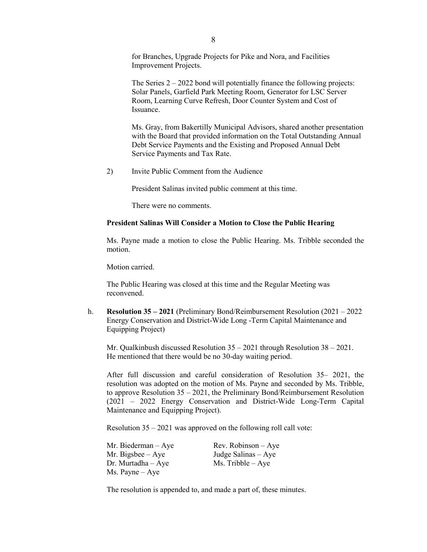for Branches, Upgrade Projects for Pike and Nora, and Facilities Improvement Projects.

The Series  $2 - 2022$  bond will potentially finance the following projects: Solar Panels, Garfield Park Meeting Room, Generator for LSC Server Room, Learning Curve Refresh, Door Counter System and Cost of Issuance.

Ms. Gray, from Bakertilly Municipal Advisors, shared another presentation with the Board that provided information on the Total Outstanding Annual Debt Service Payments and the Existing and Proposed Annual Debt Service Payments and Tax Rate.

2) Invite Public Comment from the Audience

President Salinas invited public comment at this time.

There were no comments.

#### **President Salinas Will Consider a Motion to Close the Public Hearing**

Ms. Payne made a motion to close the Public Hearing. Ms. Tribble seconded the motion.

Motion carried.

The Public Hearing was closed at this time and the Regular Meeting was reconvened.

h. **Resolution 35 – 2021** (Preliminary Bond/Reimbursement Resolution (2021 – 2022 Energy Conservation and District-Wide Long -Term Capital Maintenance and Equipping Project)

Mr. Qualkinbush discussed Resolution 35 – 2021 through Resolution 38 – 2021. He mentioned that there would be no 30-day waiting period.

After full discussion and careful consideration of Resolution 35– 2021, the resolution was adopted on the motion of Ms. Payne and seconded by Ms. Tribble, to approve Resolution 35 – 2021, the Preliminary Bond/Reimbursement Resolution (2021 – 2022 Energy Conservation and District-Wide Long-Term Capital Maintenance and Equipping Project).

Resolution 35 – 2021 was approved on the following roll call vote:

| Mr. Biederman $-$ Aye    | $Rev. Robinson - Aye$ |
|--------------------------|-----------------------|
| Mr. Bigsbee $-$ Aye      | Judge Salinas $-$ Aye |
| $Dr.$ Murtadha $-Aye$    | $Ms.$ Tribble $-$ Aye |
| $Ms. \text{Payne} - Aye$ |                       |

The resolution is appended to, and made a part of, these minutes.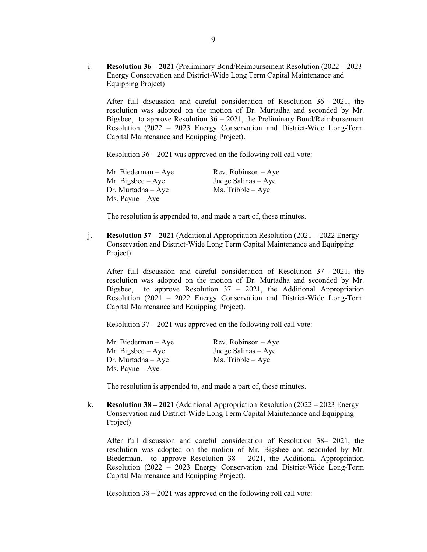i. **Resolution 36 – 2021** (Preliminary Bond/Reimbursement Resolution (2022 – 2023 Energy Conservation and District-Wide Long Term Capital Maintenance and Equipping Project)

After full discussion and careful consideration of Resolution 36– 2021, the resolution was adopted on the motion of Dr. Murtadha and seconded by Mr. Bigsbee, to approve Resolution  $36 - 2021$ , the Preliminary Bond/Reimbursement Resolution (2022 – 2023 Energy Conservation and District-Wide Long-Term Capital Maintenance and Equipping Project).

Resolution 36 – 2021 was approved on the following roll call vote:

Mr. Biederman – Aye Rev. Robinson – Aye Mr. Bigsbee –  $Aye$  Judge Salinas –  $Aye$ Dr. Murtadha – Aye  $Ms.$  Tribble – Aye Ms. Payne – Aye

The resolution is appended to, and made a part of, these minutes.

j. **Resolution 37 – 2021** (Additional Appropriation Resolution (2021 – 2022 Energy Conservation and District-Wide Long Term Capital Maintenance and Equipping Project)

After full discussion and careful consideration of Resolution 37– 2021, the resolution was adopted on the motion of Dr. Murtadha and seconded by Mr. Bigsbee, to approve Resolution  $37 - 2021$ , the Additional Appropriation Resolution (2021 – 2022 Energy Conservation and District-Wide Long-Term Capital Maintenance and Equipping Project).

Resolution 37 – 2021 was approved on the following roll call vote:

| Mr. Biederman $-$ Aye    | Rev. Robinson $-$ Aye |
|--------------------------|-----------------------|
| Mr. Bigsbee $-$ Aye      | Judge Salinas $-$ Aye |
| $Dr.$ Murtadha $-$ Aye   | $Ms.$ Tribble $-$ Aye |
| $Ms. \text{Payne} - Aye$ |                       |

The resolution is appended to, and made a part of, these minutes.

k. **Resolution 38 – 2021** (Additional Appropriation Resolution (2022 – 2023 Energy Conservation and District-Wide Long Term Capital Maintenance and Equipping Project)

After full discussion and careful consideration of Resolution 38– 2021, the resolution was adopted on the motion of Mr. Bigsbee and seconded by Mr. Biederman, to approve Resolution  $38 - 2021$ , the Additional Appropriation Resolution (2022 – 2023 Energy Conservation and District-Wide Long-Term Capital Maintenance and Equipping Project).

Resolution 38 – 2021 was approved on the following roll call vote: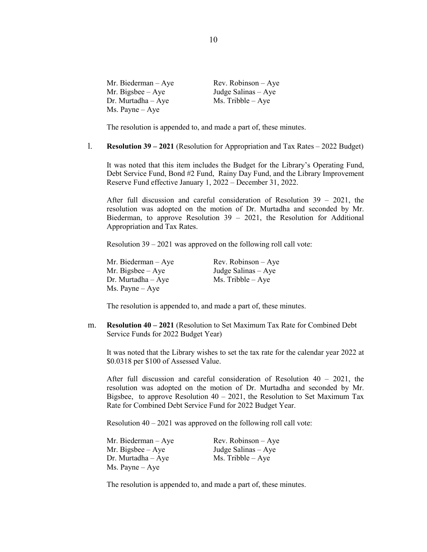| Mr. Biederman $-$ Aye    | $Rev. Robinson - Aye$ |
|--------------------------|-----------------------|
| Mr. Bigsbee $-$ Aye      | Judge Salinas $-$ Aye |
| $Dr.$ Murtadha $-Aye$    | $Ms.$ Tribble $-$ Aye |
| $Ms. \text{Payne} - Aye$ |                       |

The resolution is appended to, and made a part of, these minutes.

### l. **Resolution 39 – 2021** (Resolution for Appropriation and Tax Rates – 2022 Budget)

It was noted that this item includes the Budget for the Library's Operating Fund, Debt Service Fund, Bond #2 Fund, Rainy Day Fund, and the Library Improvement Reserve Fund effective January 1, 2022 – December 31, 2022.

After full discussion and careful consideration of Resolution 39 – 2021, the resolution was adopted on the motion of Dr. Murtadha and seconded by Mr. Biederman, to approve Resolution 39 – 2021, the Resolution for Additional Appropriation and Tax Rates.

Resolution 39 – 2021 was approved on the following roll call vote:

Mr. Biederman – Aye Rev. Robinson – Aye Mr. Bigsbee – Aye Judge Salinas – Aye<br>Dr. Murtadha – Aye Ms. Tribble – Aye Dr. Murtadha – Aye Ms. Payne – Aye

The resolution is appended to, and made a part of, these minutes.

m. **Resolution 40 – 2021** (Resolution to Set Maximum Tax Rate for Combined Debt Service Funds for 2022 Budget Year)

It was noted that the Library wishes to set the tax rate for the calendar year 2022 at \$0.0318 per \$100 of Assessed Value.

After full discussion and careful consideration of Resolution 40 – 2021, the resolution was adopted on the motion of Dr. Murtadha and seconded by Mr. Bigsbee, to approve Resolution  $40 - 2021$ , the Resolution to Set Maximum Tax Rate for Combined Debt Service Fund for 2022 Budget Year.

Resolution  $40 - 2021$  was approved on the following roll call vote:

| Mr. Biederman – Aye | Rev. Robinson $-$ Aye |
|---------------------|-----------------------|
| Mr. Bigsbee – Aye   | Judge Salinas $-$ Aye |
| Dr. Murtadha – Aye  | $Ms.$ Tribble $-$ Aye |
| Ms. Payne – Aye     |                       |

The resolution is appended to, and made a part of, these minutes.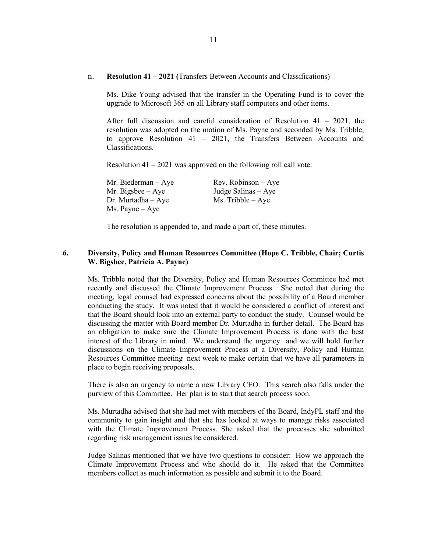n. **Resolution 41 – 2021 (**Transfers Between Accounts and Classifications)

Ms. Dike-Young advised that the transfer in the Operating Fund is to cover the upgrade to Microsoft 365 on all Library staff computers and other items.

After full discussion and careful consideration of Resolution  $41 - 2021$ , the resolution was adopted on the motion of Ms. Payne and seconded by Ms. Tribble, to approve Resolution 41 – 2021, the Transfers Between Accounts and Classifications.

Resolution  $41 - 2021$  was approved on the following roll call vote:

Mr. Bigsbee – Aye Judge Salinas – Aye  $Dr. Murtadha - Aye$  Ms. Tribble – Aye Ms. Payne – Aye

Mr. Biederman – Aye Rev. Robinson – Aye

The resolution is appended to, and made a part of, these minutes.

## **6. Diversity, Policy and Human Resources Committee (Hope C. Tribble, Chair; Curtis W. Bigsbee, Patricia A. Payne)**

Ms. Tribble noted that the Diversity, Policy and Human Resources Committee had met recently and discussed the Climate Improvement Process. She noted that during the meeting, legal counsel had expressed concerns about the possibility of a Board member conducting the study. It was noted that it would be considered a conflict of interest and that the Board should look into an external party to conduct the study. Counsel would be discussing the matter with Board member Dr. Murtadha in further detail. The Board has an obligation to make sure the Climate Improvement Process is done with the best interest of the Library in mind. We understand the urgency and we will hold further discussions on the Climate Improvement Process at a Diversity, Policy and Human Resources Committee meeting next week to make certain that we have all parameters in place to begin receiving proposals.

There is also an urgency to name a new Library CEO. This search also falls under the purview of this Committee. Her plan is to start that search process soon.

Ms. Murtadha advised that she had met with members of the Board, IndyPL staff and the community to gain insight and that she has looked at ways to manage risks associated with the Climate Improvement Process. She asked that the processes she submitted regarding risk management issues be considered.

Judge Salinas mentioned that we have two questions to consider: How we approach the Climate Improvement Process and who should do it. He asked that the Committee members collect as much information as possible and submit it to the Board.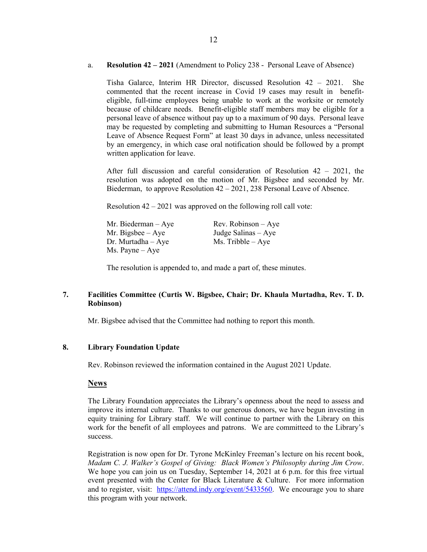## a. **Resolution 42 – 2021** (Amendment to Policy 238 - Personal Leave of Absence)

Tisha Galarce, Interim HR Director, discussed Resolution 42 – 2021. She commented that the recent increase in Covid 19 cases may result in benefiteligible, full-time employees being unable to work at the worksite or remotely because of childcare needs. Benefit-eligible staff members may be eligible for a personal leave of absence without pay up to a maximum of 90 days. Personal leave may be requested by completing and submitting to Human Resources a "Personal Leave of Absence Request Form" at least 30 days in advance, unless necessitated by an emergency, in which case oral notification should be followed by a prompt written application for leave.

After full discussion and careful consideration of Resolution  $42 - 2021$ , the resolution was adopted on the motion of Mr. Bigsbee and seconded by Mr. Biederman, to approve Resolution 42 – 2021, 238 Personal Leave of Absence.

Resolution 42 – 2021 was approved on the following roll call vote:

| Mr. Biederman – Aye | $Rev. Robinson - Aye$ |
|---------------------|-----------------------|
| Mr. Bigsbee – Aye   | Judge Salinas $-$ Aye |
| Dr. Murtadha – Aye  | $Ms.$ Tribble $-$ Aye |
| Ms. Payne – Aye     |                       |

The resolution is appended to, and made a part of, these minutes.

## **7. Facilities Committee (Curtis W. Bigsbee, Chair; Dr. Khaula Murtadha, Rev. T. D. Robinson)**

Mr. Bigsbee advised that the Committee had nothing to report this month.

## **8. Library Foundation Update**

Rev. Robinson reviewed the information contained in the August 2021 Update.

## **News**

The Library Foundation appreciates the Library's openness about the need to assess and improve its internal culture. Thanks to our generous donors, we have begun investing in equity training for Library staff. We will continue to partner with the Library on this work for the benefit of all employees and patrons. We are committeed to the Library's success.

Registration is now open for Dr. Tyrone McKinley Freeman's lecture on his recent book, *Madam C. J. Walker's Gospel of Giving: Black Women's Philosophy during Jim Crow*. We hope you can join us on Tuesday, September 14, 2021 at 6 p.m. for this free virtual event presented with the Center for Black Literature & Culture. For more information and to register, visit: [https://attend.indy.org/event/5433560.](https://attend.indy.org/event/5433560) We encourage you to share this program with your network.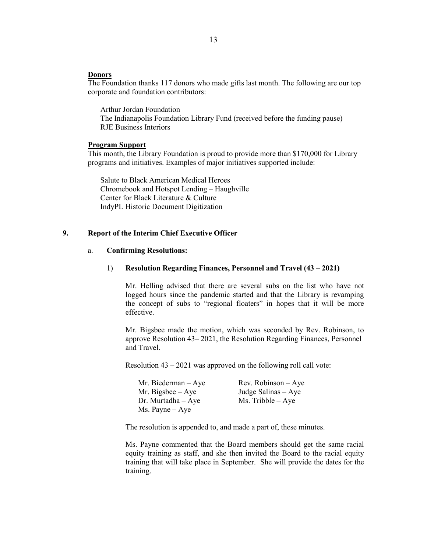#### **Donors**

The Foundation thanks 117 donors who made gifts last month. The following are our top corporate and foundation contributors:

Arthur Jordan Foundation The Indianapolis Foundation Library Fund (received before the funding pause) RJE Business Interiors

#### **Program Support**

This month, the Library Foundation is proud to provide more than \$170,000 for Library programs and initiatives. Examples of major initiatives supported include:

Salute to Black American Medical Heroes Chromebook and Hotspot Lending – Haughville Center for Black Literature & Culture IndyPL Historic Document Digitization

## **9. Report of the Interim Chief Executive Officer**

#### a. **Confirming Resolutions:**

#### 1) **Resolution Regarding Finances, Personnel and Travel (43 – 2021)**

Mr. Helling advised that there are several subs on the list who have not logged hours since the pandemic started and that the Library is revamping the concept of subs to "regional floaters" in hopes that it will be more effective.

Mr. Bigsbee made the motion, which was seconded by Rev. Robinson, to approve Resolution 43– 2021, the Resolution Regarding Finances, Personnel and Travel.

Resolution 43 – 2021 was approved on the following roll call vote:

| Mr. Biederman – Aye | $Rev. Robinson - Aye$ |
|---------------------|-----------------------|
| Mr. Bigsbee $-$ Aye | Judge Salinas $-$ Aye |
| Dr. Murtadha – Aye  | $Ms.$ Tribble $-$ Aye |
| Ms. Payne – Aye     |                       |

The resolution is appended to, and made a part of, these minutes.

Ms. Payne commented that the Board members should get the same racial equity training as staff, and she then invited the Board to the racial equity training that will take place in September. She will provide the dates for the training.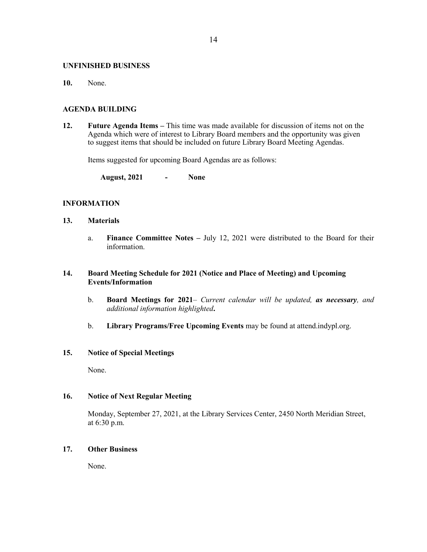#### **UNFINISHED BUSINESS**

**10.** None.

### **AGENDA BUILDING**

**12. Future Agenda Items –** This time was made available for discussion of items not on the Agenda which were of interest to Library Board members and the opportunity was given to suggest items that should be included on future Library Board Meeting Agendas.

Items suggested for upcoming Board Agendas are as follows:

**August, 2021 - None**

## **INFORMATION**

- **13. Materials** 
	- a. **Finance Committee Notes –** July 12, 2021 were distributed to the Board for their information.

## **14. Board Meeting Schedule for 2021 (Notice and Place of Meeting) and Upcoming Events/Information**

- b. **Board Meetings for 2021***– Current calendar will be updated, as necessary, and additional information highlighted***.**
- b. **Library Programs/Free Upcoming Events** may be found at attend.indypl.org.

## **15. Notice of Special Meetings**

None.

## **16. Notice of Next Regular Meeting**

Monday, September 27, 2021, at the Library Services Center, 2450 North Meridian Street, at 6:30 p.m.

## **17. Other Business**

None.